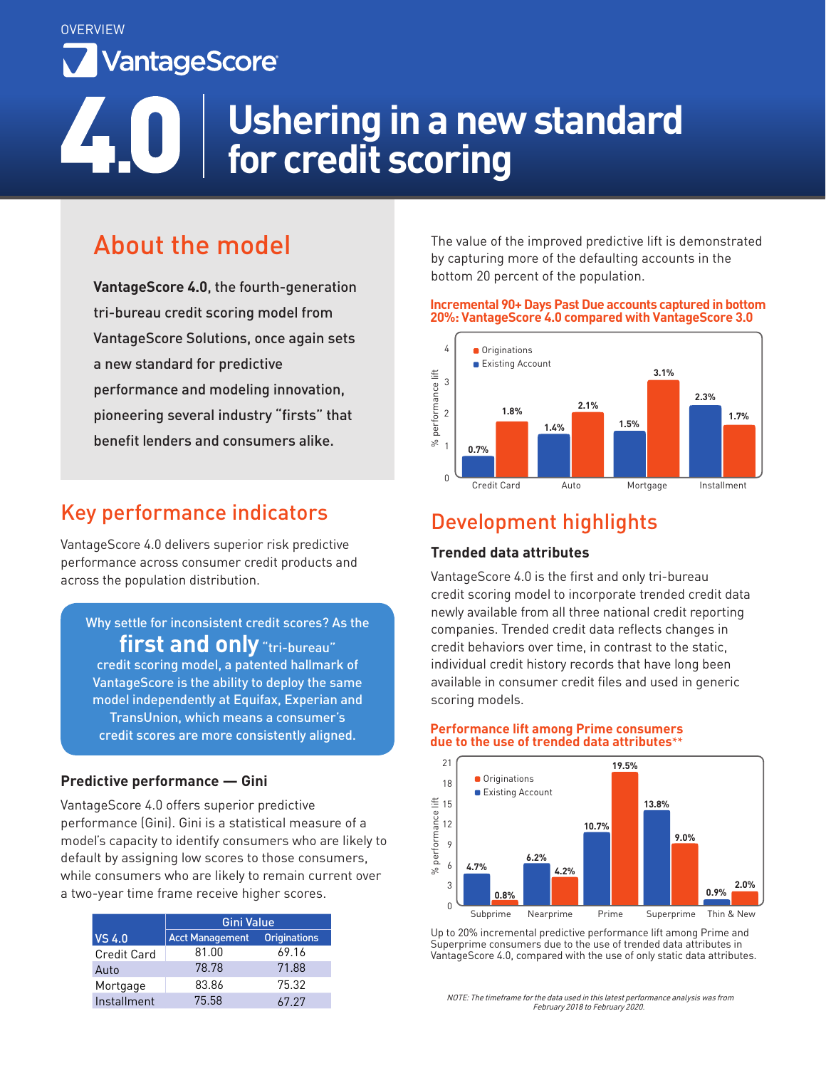**OVERVIEW** VantageScore

# **Ushering in a new standard for credit scoring**

# About the model

**VantageScore 4.0**, the fourth-generation tri-bureau credit scoring model from VantageScore Solutions, once again sets a new standard for predictive performance and modeling innovation, pioneering several industry "firsts" that benefit lenders and consumers alike.

## Key performance indicators

VantageScore 4.0 delivers superior risk predictive performance across consumer credit products and across the population distribution.

### Why settle for inconsistent credit scores? As the first and only "tri-bureau"

credit scoring model, a patented hallmark of VantageScore is the ability to deploy the same model independently at Equifax, Experian and TransUnion, which means a consumer's credit scores are more consistently aligned.

### **Predictive performance — Gini**

VantageScore 4.0 offers superior predictive performance (Gini). Gini is a statistical measure of a model's capacity to identify consumers who are likely to default by assigning low scores to those consumers, while consumers who are likely to remain current over a two-year time frame receive higher scores.

|                    | Gini Value             |                     |
|--------------------|------------------------|---------------------|
| <b>VS 4.0</b>      | <b>Acct Management</b> | <b>Originations</b> |
| <b>Credit Card</b> | 81.00                  | 69.16               |
| Auto               | 78.78                  | 71.88               |
| Mortgage           | 83.86                  | 75.32               |
| Installment        | 75.58                  | 67.27               |

The value of the improved predictive lift is demonstrated by capturing more of the defaulting accounts in the bottom 20 percent of the population.

#### **Incremental 90+ Days Past Due accounts captured in bottom 20%: VantageScore 4.0 compared with VantageScore 3.0**



## Development highlights

### **Trended data attributes**

VantageScore 4.0 is the first and only tri-bureau credit scoring model to incorporate trended credit data newly available from all three national credit reporting companies. Trended credit data reflects changes in credit behaviors over time, in contrast to the static, individual credit history records that have long been available in consumer credit files and used in generic scoring models.

#### **Performance lift among Prime consumers due to the use of trended data attributes\*\***



Up to 20% incremental predictive performance lift among Prime and Superprime consumers due to the use of trended data attributes in VantageScore 4.0, compared with the use of only static data attributes.

NOTE: The timeframe for the data used in this latest performance analysis was from February 2018 to February 2020.